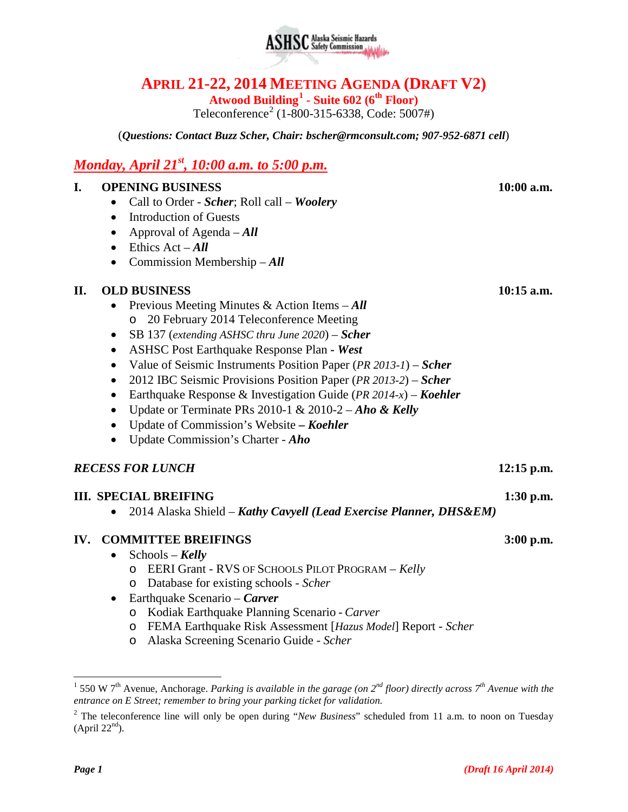# **APRIL 21-22, 2014 MEETING AGENDA (DRAFT V2)**

**Atwood Building[1](#page-0-0) - Suite 602 (6th Floor)**

Teleconference<sup>[2](#page-0-1)</sup> (1-800-315-6338, Code: 5007#)

(*Questions: Contact Buzz Scher, Chair: [bscher@rmconsult.com;](mailto:bscher@rmconsult.com) 907-952-6871 cell*)

## *Monday, April 21st , 10:00 a.m. to 5:00 p.m.*

#### **I. OPENING BUSINESS 10:00 a.m.**

- Call to Order *Scher*; Roll call *Woolery*
- Introduction of Guests
- Approval of Agenda *All*
- Ethics Act *All*
- Commission Membership *All*

### **II. OLD BUSINESS 10:15 a.m.**

- Previous Meeting Minutes & Action Items *All* o 20 February 2014 Teleconference Meeting
- SB 137 (*extending ASHSC thru June 2020*) *Scher*
- ASHSC Post Earthquake Response Plan **-** *West*
- Value of Seismic Instruments Position Paper (*PR 2013-1*) *Scher*
- 2012 IBC Seismic Provisions Position Paper (*PR 2013-2*) *Scher*
- Earthquake Response & Investigation Guide (*PR 2014-x*) *Koehler*
- Update or Terminate PRs 2010-1 & 2010-2 *Aho & Kelly*
- Update of Commission's Website **–** *Koehler*
- Update Commission's Charter *Aho*

### *RECESS FOR LUNCH* **12:15 p.m.**

### **III. SPECIAL BREIFING 1:30 p.m.**

• 2014 Alaska Shield – *Kathy Cavyell (Lead Exercise Planner, DHS&EM)*

### **IV. COMMITTEE BREIFINGS** 3:00 p.m.

- Schools *Kelly*
	- o EERI Grant RVS OF SCHOOLS PILOT PROGRAM *Kelly*
	- o Database for existing schools *Scher*
- Earthquake Scenario *Carver*
	- o Kodiak Earthquake Planning Scenario *Carver*
	- o FEMA Earthquake Risk Assessment [*Hazus Model*] Report *Scher*
	- o Alaska Screening Scenario Guide *Scher*

**ASHSC** Alaska Seismic Hazards

<span id="page-0-0"></span> <sup>1</sup> 550 W 7th Avenue, Anchorage. *Parking is available in the garage (on 2nd floor) directly across 7th Avenue with the entrance on E Street; remember to bring your parking ticket for validation.*

<span id="page-0-1"></span><sup>&</sup>lt;sup>2</sup> The teleconference line will only be open during "*New Business*" scheduled from 11 a.m. to noon on Tuesday  $(April 22<sup>nd</sup>)$ .